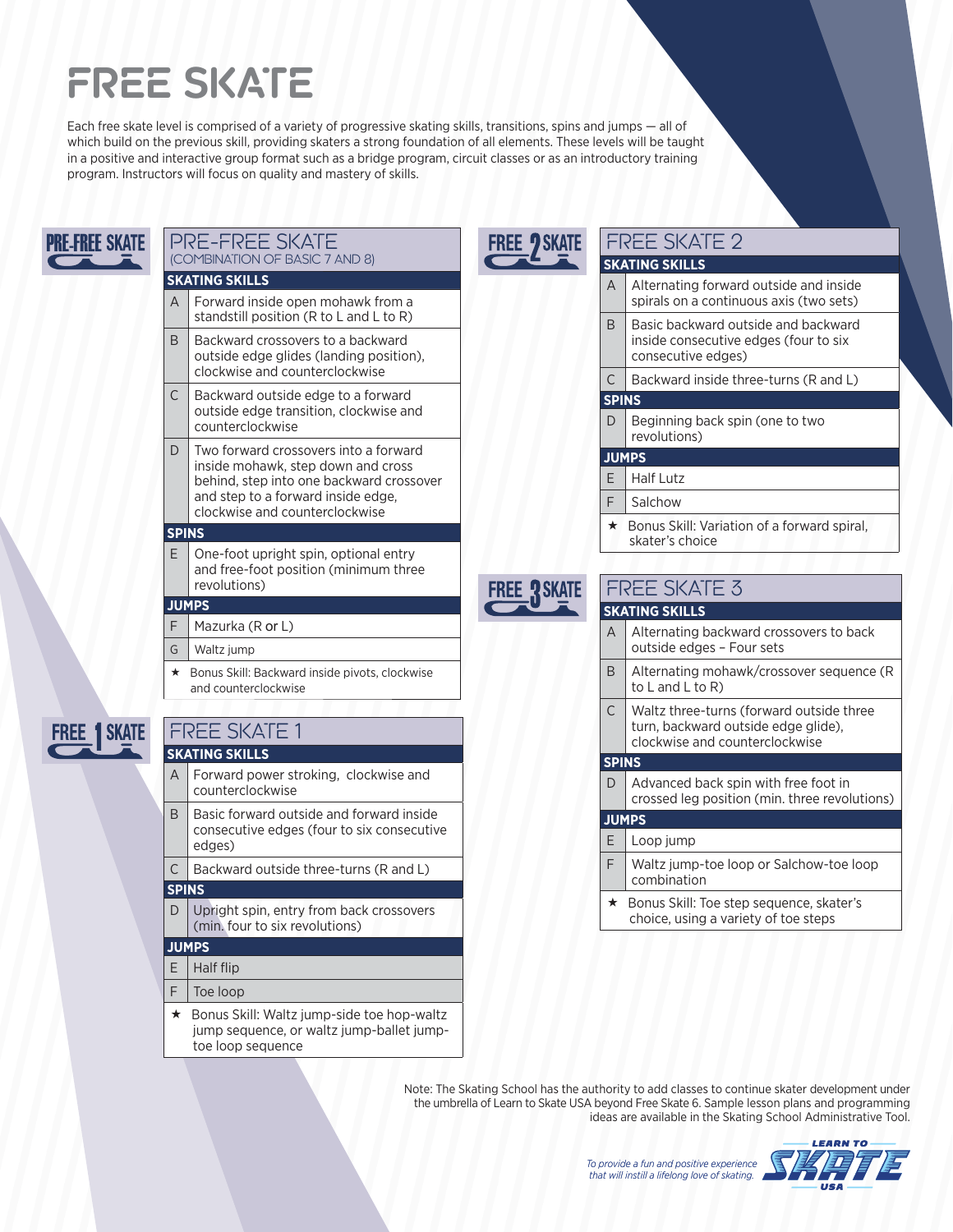# **FREE SKATE**

toe loop sequence

Each free skate level is comprised of a variety of progressive skating skills, transitions, spins and jumps — all of which build on the previous skill, providing skaters a strong foundation of all elements. These levels will be taught in a positive and interactive group format such as a bridge program, circuit classes or as an introductory training program. Instructors will focus on quality and mastery of skills.

| <b>PRE-FREE SKATE</b> | <b>PRE-FREE SKATE</b><br><b>FREE ? SKATE</b>                                                                                                                                                                             | <b>FREE SKATE 2</b>                                                                                                    |
|-----------------------|--------------------------------------------------------------------------------------------------------------------------------------------------------------------------------------------------------------------------|------------------------------------------------------------------------------------------------------------------------|
|                       | (COMBINATION OF BASIC 7 AND 8)                                                                                                                                                                                           | <b>SKATING SKILLS</b>                                                                                                  |
|                       | <b>SKATING SKILLS</b><br>Forward inside open mohawk from a<br>A                                                                                                                                                          | Alternating forward outside and inside<br>A<br>spirals on a continuous axis (two sets)                                 |
|                       | standstill position (R to L and L to R)<br>B<br>Backward crossovers to a backward<br>outside edge glides (landing position),                                                                                             | Basic backward outside and backward<br>B<br>inside consecutive edges (four to six<br>consecutive edges)                |
|                       | clockwise and counterclockwise                                                                                                                                                                                           | Backward inside three-turns (R and L)<br>C                                                                             |
|                       | $\mathsf C$<br>Backward outside edge to a forward<br>outside edge transition, clockwise and                                                                                                                              | <b>SPINS</b><br>Beginning back spin (one to two<br>D                                                                   |
|                       | counterclockwise<br>Two forward crossovers into a forward<br>D<br>inside mohawk, step down and cross<br>behind, step into one backward crossover<br>and step to a forward inside edge,<br>clockwise and counterclockwise | revolutions)                                                                                                           |
|                       |                                                                                                                                                                                                                          | <b>JUMPS</b><br><b>Half Lutz</b><br>Е                                                                                  |
|                       |                                                                                                                                                                                                                          | F<br>Salchow                                                                                                           |
|                       |                                                                                                                                                                                                                          |                                                                                                                        |
|                       | <b>SPINS</b><br>E<br>One-foot upright spin, optional entry                                                                                                                                                               | ★ Bonus Skill: Variation of a forward spiral,<br>skater's choice                                                       |
|                       | and free-foot position (minimum three<br>revolutions)<br><b>FREE RSKATE</b>                                                                                                                                              | <b>FREE SKATE 3</b>                                                                                                    |
|                       | <b>JUMPS</b>                                                                                                                                                                                                             | <b>SKATING SKILLS</b>                                                                                                  |
|                       | F<br>Mazurka (R or L)<br>Waltz jump<br>G                                                                                                                                                                                 | Alternating backward crossovers to back<br>A<br>outside edges - Four sets                                              |
|                       | Bonus Skill: Backward inside pivots, clockwise<br>*<br>and counterclockwise                                                                                                                                              | Alternating mohawk/crossover sequence (R<br>B<br>to $L$ and $L$ to $R$ )                                               |
| <b>1 SKATE</b>        | <b>FREE SKATE 1</b>                                                                                                                                                                                                      | C<br>Waltz three-turns (forward outside three<br>turn, backward outside edge glide),<br>clockwise and counterclockwise |
|                       | <b>SKATING SKILLS</b>                                                                                                                                                                                                    | <b>SPINS</b>                                                                                                           |
|                       | Forward power stroking, clockwise and<br>A<br>counterclockwise                                                                                                                                                           | Advanced back spin with free foot in<br>D<br>crossed leg position (min. three revolutions)                             |
|                       | B<br>Basic forward outside and forward inside                                                                                                                                                                            | <b>JUMPS</b>                                                                                                           |
|                       | consecutive edges (four to six consecutive<br>edges)                                                                                                                                                                     | Е<br>Loop jump                                                                                                         |
|                       | Backward outside three-turns (R and L)<br>C                                                                                                                                                                              | F<br>Waltz jump-toe loop or Salchow-toe loop<br>combination                                                            |
|                       | <b>SPINS</b>                                                                                                                                                                                                             | ★ Bonus Skill: Toe step sequence, skater's                                                                             |
|                       | Upright spin, entry from back crossovers<br>D<br>(min. four to six revolutions)                                                                                                                                          | choice, using a variety of toe steps                                                                                   |
|                       | <b>JUMPS</b>                                                                                                                                                                                                             |                                                                                                                        |
|                       | Half flip<br>E                                                                                                                                                                                                           |                                                                                                                        |
|                       | F<br>Toe loop                                                                                                                                                                                                            |                                                                                                                        |
|                       | Bonus Skill: Waltz jump-side toe hop-waltz<br>★<br>jump sequence, or waltz jump-ballet jump-                                                                                                                             |                                                                                                                        |

Note: The Skating School has the authority to add classes to continue skater development under the umbrella of Learn to Skate USA beyond Free Skate 6. Sample lesson plans and programming ideas are available in the Skating School Administrative Tool.